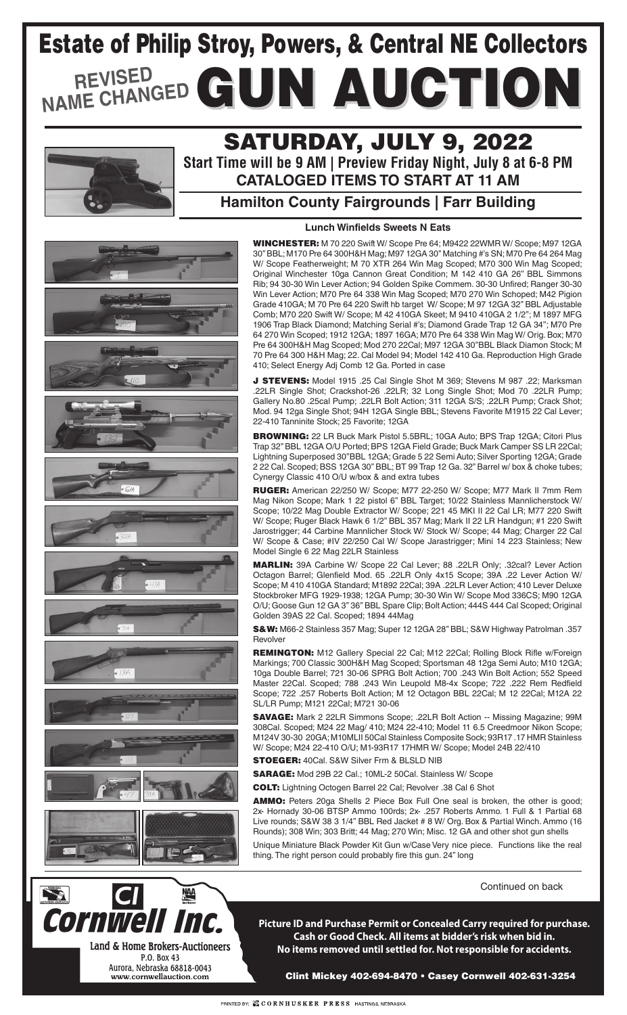### **Hamilton County Fairgrounds | Farr Building**



幽

Cornwell Inc.

Land & Home Brokers-Auctioneers P.O. Box 43 Aurora, Nebraska 68818-0043 www.cornwellauction.com

## SATURDAY, JULY 9, 2022

**Start Time will be 9 AM | Preview Friday Night, July 8 at 6-8 PM CATALOGED ITEMS TO START AT 11 AM**

Clint Mickey 402-694-8470 • Casey Cornwell 402-631-3254

# NAME CHANGED GUN AUCTION Estate of Philip Stroy, Powers, & Central NE Collectors



**Picture ID and Purchase Permit or Concealed Carry required for purchase. Cash or Good Check. All items at bidder's risk when bid in. No items removed until settled for. Not responsible for accidents.**

WINCHESTER: M 70 220 Swift W/ Scope Pre 64; M9422 22WMR W/ Scope; M97 12GA 30'' BBL; M170 Pre 64 300H&H Mag; M97 12GA 30'' Matching #'s SN; M70 Pre 64 264 Mag W/ Scope Featherweight; M 70 XTR 264 Win Mag Scoped; M70 300 Win Mag Scoped; Original Winchester 10ga Cannon Great Condition; M 142 410 GA 26'' BBL Simmons Rib; 94 30-30 Win Lever Action; 94 Golden Spike Commem. 30-30 Unfired; Ranger 30-30 Win Lever Action; M70 Pre 64 338 Win Mag Scoped; M70 270 Win Schoped; M42 Pigion Grade 410GA; M 70 Pre 64 220 Swift hb target W/ Scope; M 97 12GA 32'' BBL Adjustable Comb; M70 220 Swift W/ Scope; M 42 410GA Skeet; M 9410 410GA 2 1/2''; M 1897 MFG 1906 Trap Black Diamond; Matching Serial #'s; Diamond Grade Trap 12 GA 34''; M70 Pre 64 270 Win Scoped; 1912 12GA; 1897 16GA; M70 Pre 64 338 Win Mag W/ Orig. Box; M70 Pre 64 300H&H Mag Scoped; Mod 270 22Cal; M97 12GA 30''BBL Black Diamon Stock; M 70 Pre 64 300 H&H Mag; 22. Cal Model 94; Model 142 410 Ga. Reproduction High Grade 410; Select Energy Adj Comb 12 Ga. Ported in case

S&W: M66-2 Stainless 357 Mag; Super 12 12GA 28'' BBL; S&W Highway Patrolman .357 **Revolver** 

J STEVENS: Model 1915 .25 Cal Single Shot M 369; Stevens M 987 .22; Marksman .22LR Single Shot; Crackshot-26 .22LR; 32 Long Single Shot; Mod 70 .22LR Pump; Gallery No.80 .25cal Pump; .22LR Bolt Action; 311 12GA S/S; .22LR Pump; Crack Shot; Mod. 94 12ga Single Shot; 94H 12GA Single BBL; Stevens Favorite M1915 22 Cal Lever; 22-410 Tanninite Stock; 25 Favorite; 12GA

SAVAGE: Mark 2 22LR Simmons Scope; .22LR Bolt Action -- Missing Magazine; 99M 308Cal. Scoped; M24 22 Mag/ 410; M24 22-410; Model 11 6.5 Creedmoor Nikon Scope; M124V 30-30 20GA; M10MLII 50Cal Stainless Composite Sock; 93R17 .17 HMR Stainless W/ Scope; M24 22-410 O/U; M1-93R17 17HMR W/ Scope; Model 24B 22/410 **STOEGER: 40Cal. S&W Silver Frm & BLSLD NIB** 

BROWNING: 22 LR Buck Mark Pistol 5.5BRL; 10GA Auto; BPS Trap 12GA; Citori Plus Trap 32'' BBL 12GA O/U Ported; BPS 12GA Field Grade; Buck Mark Camper SS LR 22Cal; Lightning Superposed 30"BBL 12GA; Grade 5 22 Semi Auto; Silver Sporting 12GA; Grade 2 22 Cal. Scoped; BSS 12GA 30'' BBL; BT 99 Trap 12 Ga. 32" Barrel w/ box & choke tubes; Cynergy Classic 410 O/U w/box & and extra tubes

AMMO: Peters 20ga Shells 2 Piece Box Full One seal is broken, the other is good; 2x- Hornady 30-06 BTSP Ammo 100rds; 2x- .257 Roberts Ammo. 1 Full & 1 Partial 68 Live rounds; S&W 38 3 1/4'' BBL Red Jacket # 8 W/ Org. Box & Partial Winch. Ammo (16 Rounds); 308 Win; 303 Britt; 44 Mag; 270 Win; Misc. 12 GA and other shot gun shells

Unique Miniature Black Powder Kit Gun w/Case Very nice piece. Functions like the real thing. The right person could probably fire this gun. 24" long

RUGER: American 22/250 W/ Scope; M77 22-250 W/ Scope; M77 Mark II 7mm Rem Mag Nikon Scope; Mark 1 22 pistol 6'' BBL Target; 10/22 Stainless Mannlicherstock W/ Scope; 10/22 Mag Double Extractor W/ Scope; 221 45 MKI II 22 Cal LR; M77 220 Swift W/ Scope; Ruger Black Hawk 6 1/2'' BBL 357 Mag; Mark II 22 LR Handgun; #1 220 Swift Jarostrigger; 44 Carbine Mannlicher Stock W/ Stock W/ Scope; 44 Mag; Charger 22 Cal W/ Scope & Case; #IV 22/250 Cal W/ Scope Jarastrigger; Mini 14 223 Stainless; New Model Single 6 22 Mag 22LR Stainless

MARLIN: 39A Carbine W/ Scope 22 Cal Lever; 88 .22LR Only; .32cal? Lever Action Octagon Barrel; Glenfield Mod. 65 .22LR Only 4x15 Scope; 39A .22 Lever Action W/ Scope; M 410 410GA Standard; M1892 22Cal; 39A .22LR Lever Action; 410 Lever Deluxe Stockbroker MFG 1929-1938; 12GA Pump; 30-30 Win W/ Scope Mod 336CS; M90 12GA O/U; Goose Gun 12 GA 3'' 36'' BBL Spare Clip; Bolt Action; 444S 444 Cal Scoped; Original Golden 39AS 22 Cal. Scoped; 1894 44Mag

REMINGTON: M12 Gallery Special 22 Cal; M12 22Cal; Rolling Block Rifle w/Foreign Markings; 700 Classic 300H&H Mag Scoped; Sportsman 48 12ga Semi Auto; M10 12GA; 10ga Double Barrel; 721 30-06 SPRG Bolt Action; 700 .243 Win Bolt Action; 552 Speed Master 22Cal. Scoped; 788 .243 Win Leupold M8-4x Scope; 722 .222 Rem Redfield Scope; 722 .257 Roberts Bolt Action; M 12 Octagon BBL 22Cal; M 12 22Cal; M12A 22 SL/LR Pump; M121 22Cal; M721 30-06

SARAGE: Mod 29B 22 Cal.; 10ML-2 50Cal. Stainless W/ Scope

COLT: Lightning Octogen Barrel 22 Cal; Revolver .38 Cal 6 Shot

Continued on back

#### **Lunch Winfields Sweets N Eats**